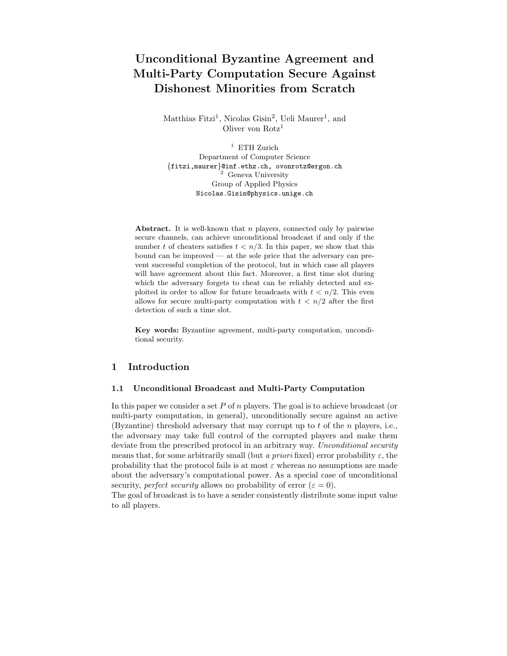# Unconditional Byzantine Agreement and Multi-Party Computation Secure Against Dishonest Minorities from Scratch

Matthias Fitzi<sup>1</sup>, Nicolas Gisin<sup>2</sup>, Ueli Maurer<sup>1</sup>, and Oliver von Rotz<sup>1</sup>

 $1$  ETH Zurich Department of Computer Science {fitzi,maurer}@inf.ethz.ch, ovonrotz@ergon.ch <sup>2</sup> Geneva University Group of Applied Physics Nicolas.Gisin@physics.unige.ch

Abstract. It is well-known that  $n$  players, connected only by pairwise secure channels, can achieve unconditional broadcast if and only if the number t of cheaters satisfies  $t < n/3$ . In this paper, we show that this bound can be improved — at the sole price that the adversary can prevent successful completion of the protocol, but in which case all players will have agreement about this fact. Moreover, a first time slot during which the adversary forgets to cheat can be reliably detected and exploited in order to allow for future broadcasts with  $t < n/2$ . This even allows for secure multi-party computation with  $t < n/2$  after the first detection of such a time slot.

Key words: Byzantine agreement, multi-party computation, unconditional security.

# 1 Introduction

#### 1.1 Unconditional Broadcast and Multi-Party Computation

In this paper we consider a set P of n players. The goal is to achieve broadcast (or multi-party computation, in general), unconditionally secure against an active (Byzantine) threshold adversary that may corrupt up to  $t$  of the  $n$  players, i.e., the adversary may take full control of the corrupted players and make them deviate from the prescribed protocol in an arbitrary way. Unconditional security means that, for some arbitrarily small (but a priori fixed) error probability  $\varepsilon$ , the probability that the protocol fails is at most  $\varepsilon$  whereas no assumptions are made about the adversary's computational power. As a special case of unconditional security, perfect security allows no probability of error  $(\varepsilon = 0)$ .

The goal of broadcast is to have a sender consistently distribute some input value to all players.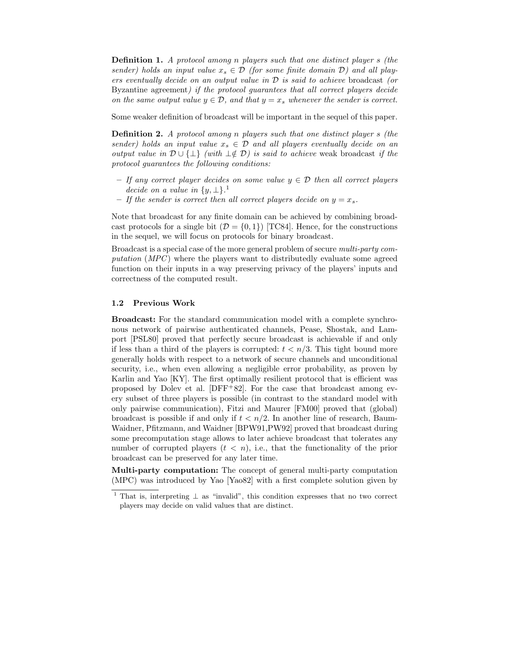Definition 1. A protocol among n players such that one distinct player s (the sender) holds an input value  $x_s \in \mathcal{D}$  (for some finite domain  $\mathcal{D}$ ) and all players eventually decide on an output value in  $\mathcal D$  is said to achieve broadcast (or Byzantine agreement) if the protocol guarantees that all correct players decide on the same output value  $y \in \mathcal{D}$ , and that  $y = x_s$  whenever the sender is correct.

Some weaker definition of broadcast will be important in the sequel of this paper.

Definition 2. A protocol among n players such that one distinct player s (the sender) holds an input value  $x_s \in \mathcal{D}$  and all players eventually decide on an output value in  $\mathcal{D} \cup \{\perp\}$  (with  $\perp \notin \mathcal{D}$ ) is said to achieve weak broadcast if the protocol guarantees the following conditions:

- If any correct player decides on some value  $y \in \mathcal{D}$  then all correct players decide on a value in  $\{y, \perp\}$ .<sup>1</sup>
- If the sender is correct then all correct players decide on  $y = x_s$ .

Note that broadcast for any finite domain can be achieved by combining broadcast protocols for a single bit  $(\mathcal{D} = \{0, 1\})$  [TC84]. Hence, for the constructions in the sequel, we will focus on protocols for binary broadcast.

Broadcast is a special case of the more general problem of secure multi-party computation  $(MPC)$  where the players want to distributedly evaluate some agreed function on their inputs in a way preserving privacy of the players' inputs and correctness of the computed result.

#### 1.2 Previous Work

Broadcast: For the standard communication model with a complete synchronous network of pairwise authenticated channels, Pease, Shostak, and Lamport [PSL80] proved that perfectly secure broadcast is achievable if and only if less than a third of the players is corrupted:  $t < n/3$ . This tight bound more generally holds with respect to a network of secure channels and unconditional security, i.e., when even allowing a negligible error probability, as proven by Karlin and Yao [KY]. The first optimally resilient protocol that is efficient was proposed by Dolev et al.  $[DFF+82]$ . For the case that broadcast among every subset of three players is possible (in contrast to the standard model with only pairwise communication), Fitzi and Maurer [FM00] proved that (global) broadcast is possible if and only if  $t < n/2$ . In another line of research, Baum-Waidner, Pfitzmann, and Waidner [BPW91,PW92] proved that broadcast during some precomputation stage allows to later achieve broadcast that tolerates any number of corrupted players  $(t < n)$ , i.e., that the functionality of the prior broadcast can be preserved for any later time.

Multi-party computation: The concept of general multi-party computation (MPC) was introduced by Yao [Yao82] with a first complete solution given by

<sup>&</sup>lt;sup>1</sup> That is, interpreting  $\perp$  as "invalid", this condition expresses that no two correct players may decide on valid values that are distinct.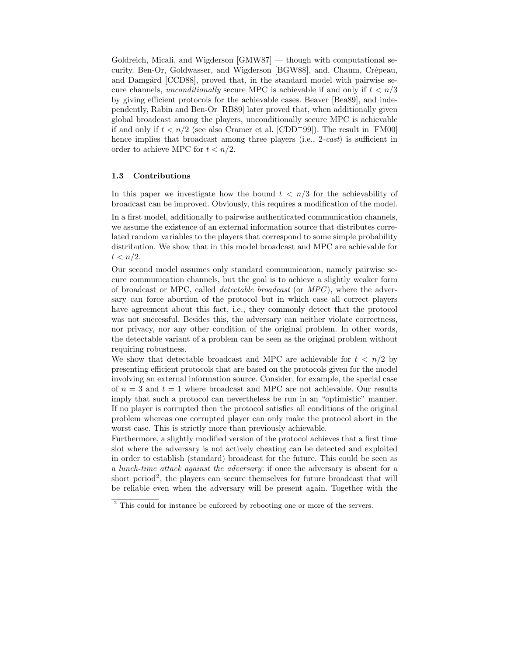Goldreich, Micali, and Wigderson [GMW87] — though with computational security. Ben-Or, Goldwasser, and Wigderson [BGW88], and, Chaum, Crépeau, and Damgård [CCD88], proved that, in the standard model with pairwise secure channels, *unconditionally* secure MPC is achievable if and only if  $t < n/3$ by giving efficient protocols for the achievable cases. Beaver [Bea89], and independently, Rabin and Ben-Or [RB89] later proved that, when additionally given global broadcast among the players, unconditionally secure MPC is achievable if and only if  $t < n/2$  (see also Cramer et al. [CDD<sup>+99]</sup>). The result in [FM00] hence implies that broadcast among three players (i.e., 2-cast) is sufficient in order to achieve MPC for  $t < n/2$ .

### 1.3 Contributions

In this paper we investigate how the bound  $t < n/3$  for the achievability of broadcast can be improved. Obviously, this requires a modification of the model.

In a first model, additionally to pairwise authenticated communication channels, we assume the existence of an external information source that distributes correlated random variables to the players that correspond to some simple probability distribution. We show that in this model broadcast and MPC are achievable for  $t < n/2$ .

Our second model assumes only standard communication, namely pairwise secure communication channels, but the goal is to achieve a slightly weaker form of broadcast or MPC, called *detectable broadcast* (or  $MPC$ ), where the adversary can force abortion of the protocol but in which case all correct players have agreement about this fact, i.e., they commonly detect that the protocol was not successful. Besides this, the adversary can neither violate correctness, nor privacy, nor any other condition of the original problem. In other words, the detectable variant of a problem can be seen as the original problem without requiring robustness.

We show that detectable broadcast and MPC are achievable for  $t < n/2$  by presenting efficient protocols that are based on the protocols given for the model involving an external information source. Consider, for example, the special case of  $n = 3$  and  $t = 1$  where broadcast and MPC are not achievable. Our results imply that such a protocol can nevertheless be run in an "optimistic" manner. If no player is corrupted then the protocol satisfies all conditions of the original problem whereas one corrupted player can only make the protocol abort in the worst case. This is strictly more than previously achievable.

Furthermore, a slightly modified version of the protocol achieves that a first time slot where the adversary is not actively cheating can be detected and exploited in order to establish (standard) broadcast for the future. This could be seen as a lunch-time attack against the adversary: if once the adversary is absent for a short period<sup>2</sup>, the players can secure themselves for future broadcast that will be reliable even when the adversary will be present again. Together with the

<sup>&</sup>lt;sup>2</sup> This could for instance be enforced by rebooting one or more of the servers.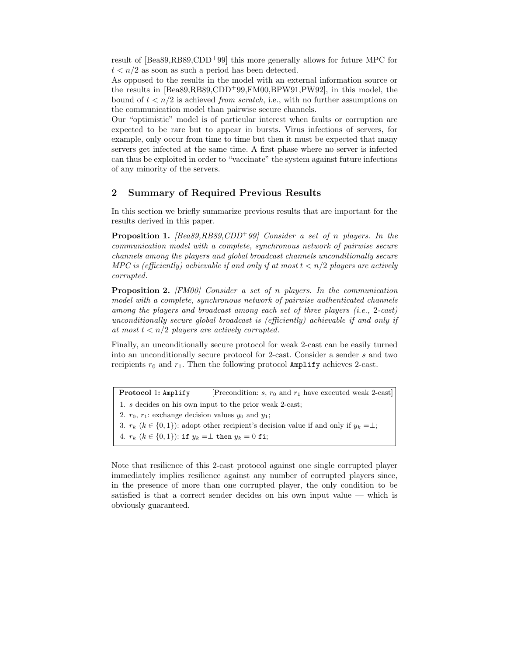result of [Bea89,RB89,CDD<sup>+</sup>99] this more generally allows for future MPC for  $t < n/2$  as soon as such a period has been detected.

As opposed to the results in the model with an external information source or the results in [Bea89,RB89,CDD<sup>+</sup>99,FM00,BPW91,PW92], in this model, the bound of  $t < n/2$  is achieved *from scratch*, i.e., with no further assumptions on the communication model than pairwise secure channels.

Our "optimistic" model is of particular interest when faults or corruption are expected to be rare but to appear in bursts. Virus infections of servers, for example, only occur from time to time but then it must be expected that many servers get infected at the same time. A first phase where no server is infected can thus be exploited in order to "vaccinate" the system against future infections of any minority of the servers.

# 2 Summary of Required Previous Results

In this section we briefly summarize previous results that are important for the results derived in this paper.

**Proposition 1.** [Bea89,RB89,CDD+99] Consider a set of n players. In the communication model with a complete, synchronous network of pairwise secure channels among the players and global broadcast channels unconditionally secure MPC is (efficiently) achievable if and only if at most  $t < n/2$  players are actively corrupted.

Proposition 2. [FM00] Consider a set of n players. In the communication model with a complete, synchronous network of pairwise authenticated channels among the players and broadcast among each set of three players (i.e., 2-cast) unconditionally secure global broadcast is (efficiently) achievable if and only if at most  $t < n/2$  players are actively corrupted.

Finally, an unconditionally secure protocol for weak 2-cast can be easily turned into an unconditionally secure protocol for 2-cast. Consider a sender s and two recipients  $r_0$  and  $r_1$ . Then the following protocol Amplify achieves 2-cast.

**Protocol 1:** Amplify [Precondition: s,  $r_0$  and  $r_1$  have executed weak 2-cast] 1. s decides on his own input to the prior weak 2-cast; 2.  $r_0$ ,  $r_1$ : exchange decision values  $y_0$  and  $y_1$ ; 3.  $r_k$  ( $k \in \{0,1\}$ ): adopt other recipient's decision value if and only if  $y_k = \perp$ ; 4.  $r_k$   $(k \in \{0,1\})$ : if  $y_k = \perp$  then  $y_k = 0$  fi;

Note that resilience of this 2-cast protocol against one single corrupted player immediately implies resilience against any number of corrupted players since, in the presence of more than one corrupted player, the only condition to be satisfied is that a correct sender decides on his own input value — which is obviously guaranteed.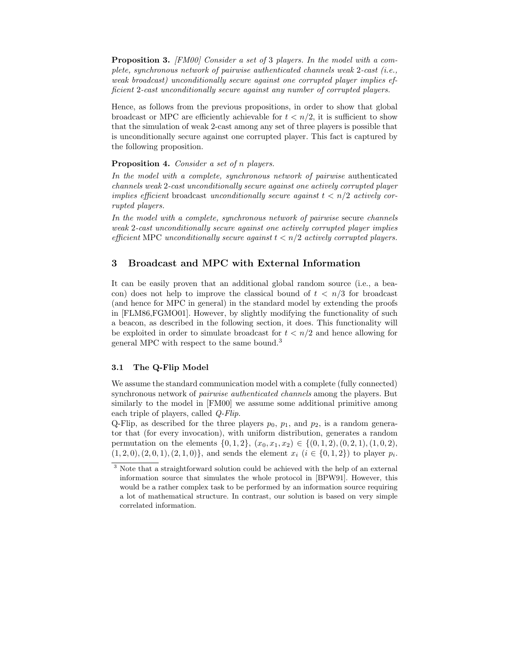Proposition 3. [FM00] Consider a set of 3 players. In the model with a complete, synchronous network of pairwise authenticated channels weak 2-cast (i.e., weak broadcast) unconditionally secure against one corrupted player implies efficient 2-cast unconditionally secure against any number of corrupted players.

Hence, as follows from the previous propositions, in order to show that global broadcast or MPC are efficiently achievable for  $t < n/2$ , it is sufficient to show that the simulation of weak 2-cast among any set of three players is possible that is unconditionally secure against one corrupted player. This fact is captured by the following proposition.

### Proposition 4. Consider a set of n players.

In the model with a complete, synchronous network of pairwise authenticated channels weak 2-cast unconditionally secure against one actively corrupted player implies efficient broadcast unconditionally secure against  $t < n/2$  actively corrupted players.

In the model with a complete, synchronous network of pairwise secure channels weak 2-cast unconditionally secure against one actively corrupted player implies efficient MPC unconditionally secure against  $t < n/2$  actively corrupted players.

### 3 Broadcast and MPC with External Information

It can be easily proven that an additional global random source (i.e., a beacon) does not help to improve the classical bound of  $t < n/3$  for broadcast (and hence for MPC in general) in the standard model by extending the proofs in [FLM86,FGMO01]. However, by slightly modifying the functionality of such a beacon, as described in the following section, it does. This functionality will be exploited in order to simulate broadcast for  $t < n/2$  and hence allowing for general MPC with respect to the same bound.<sup>3</sup>

### 3.1 The Q-Flip Model

We assume the standard communication model with a complete (fully connected) synchronous network of pairwise authenticated channels among the players. But similarly to the model in [FM00] we assume some additional primitive among each triple of players, called Q-Flip.

Q-Flip, as described for the three players  $p_0$ ,  $p_1$ , and  $p_2$ , is a random generator that (for every invocation), with uniform distribution, generates a random permutation on the elements  $\{0, 1, 2\}, (x_0, x_1, x_2) \in \{(0, 1, 2), (0, 2, 1), (1, 0, 2),\}$  $(1, 2, 0), (2, 0, 1), (2, 1, 0)$ , and sends the element  $x_i$   $(i \in \{0, 1, 2\})$  to player  $p_i$ .

<sup>3</sup> Note that a straightforward solution could be achieved with the help of an external information source that simulates the whole protocol in [BPW91]. However, this would be a rather complex task to be performed by an information source requiring a lot of mathematical structure. In contrast, our solution is based on very simple correlated information.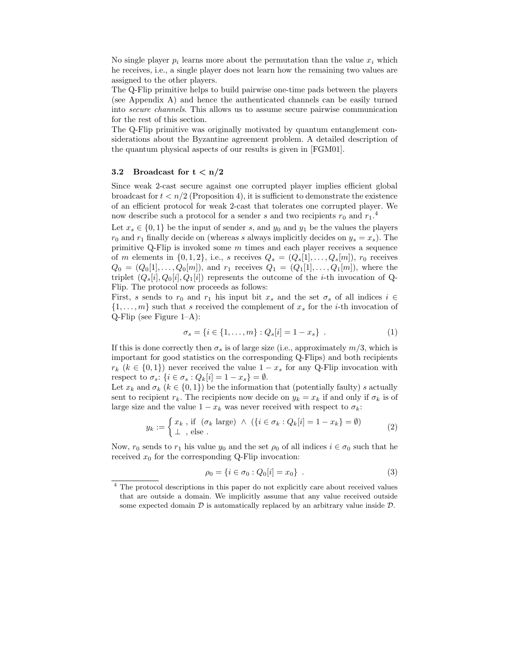No single player  $p_i$  learns more about the permutation than the value  $x_i$  which he receives, i.e., a single player does not learn how the remaining two values are assigned to the other players.

The Q-Flip primitive helps to build pairwise one-time pads between the players (see Appendix A) and hence the authenticated channels can be easily turned into secure channels. This allows us to assume secure pairwise communication for the rest of this section.

The Q-Flip primitive was originally motivated by quantum entanglement considerations about the Byzantine agreement problem. A detailed description of the quantum physical aspects of our results is given in [FGM01].

#### 3.2 Broadcast for  $t < n/2$

Since weak 2-cast secure against one corrupted player implies efficient global broadcast for  $t < n/2$  (Proposition 4), it is sufficient to demonstrate the existence of an efficient protocol for weak 2-cast that tolerates one corrupted player. We now describe such a protocol for a sender s and two recipients  $r_0$  and  $r_1$ <sup>4</sup>.

Let  $x_s \in \{0,1\}$  be the input of sender s, and  $y_0$  and  $y_1$  be the values the players  $r_0$  and  $r_1$  finally decide on (whereas s always implicitly decides on  $y_s = x_s$ ). The primitive Q-Flip is invoked some  $m$  times and each player receives a sequence of m elements in  $\{0, 1, 2\}$ , i.e., s receives  $Q_s = (Q_s[1], \ldots, Q_s[m])$ ,  $r_0$  receives  $Q_0 = (Q_0[1], \ldots, Q_0[m])$ , and  $r_1$  receives  $Q_1 = (Q_1[1], \ldots, Q_1[m])$ , where the triplet  $(Q_s[i], Q_0[i], Q_1[i])$  represents the outcome of the *i*-th invocation of Q-Flip. The protocol now proceeds as follows:

First, s sends to  $r_0$  and  $r_1$  his input bit  $x_s$  and the set  $\sigma_s$  of all indices  $i \in$  $\{1, \ldots, m\}$  such that s received the complement of  $x_s$  for the *i*-th invocation of Q-Flip (see Figure 1–A):

$$
\sigma_s = \{ i \in \{1, \dots, m\} : Q_s[i] = 1 - x_s \} . \tag{1}
$$

If this is done correctly then  $\sigma_s$  is of large size (i.e., approximately  $m/3$ , which is important for good statistics on the corresponding Q-Flips) and both recipients  $r_k$  ( $k \in \{0,1\}$ ) never received the value  $1-x_s$  for any Q-Flip invocation with respect to  $\sigma_s$ : { $i \in \sigma_s$  :  $Q_k[i] = 1 - x_s$ } =  $\emptyset$ .

Let  $x_k$  and  $\sigma_k$   $(k \in \{0,1\})$  be the information that (potentially faulty) s actually sent to recipient  $r_k$ . The recipients now decide on  $y_k = x_k$  if and only if  $\sigma_k$  is of large size and the value  $1 - x_k$  was never received with respect to  $\sigma_k$ :

$$
y_k := \begin{cases} x_k, & \text{if } (\sigma_k \text{ large}) \land (\{i \in \sigma_k : Q_k[i] = 1 - x_k\} = \emptyset) \\ \bot, & \text{else.} \end{cases} \tag{2}
$$

Now,  $r_0$  sends to  $r_1$  his value  $y_0$  and the set  $\rho_0$  of all indices  $i \in \sigma_0$  such that he received  $x_0$  for the corresponding Q-Flip invocation:

$$
\rho_0 = \{ i \in \sigma_0 : Q_0[i] = x_0 \} . \tag{3}
$$

<sup>&</sup>lt;sup>4</sup> The protocol descriptions in this paper do not explicitly care about received values that are outside a domain. We implicitly assume that any value received outside some expected domain  $D$  is automatically replaced by an arbitrary value inside  $D$ .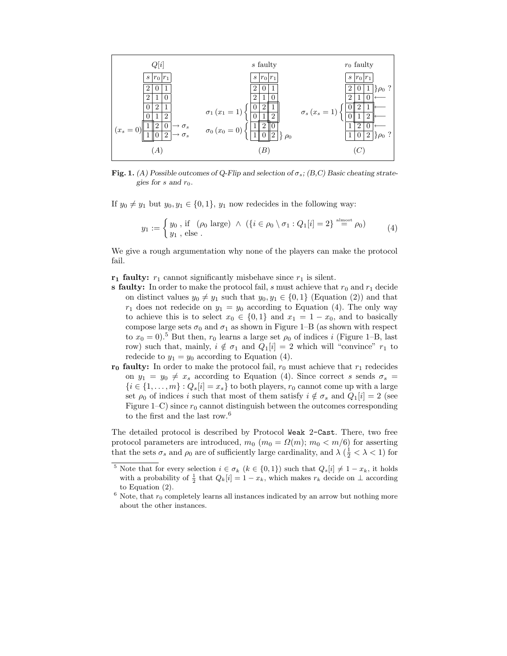

Fig. 1. (A) Possible outcomes of Q-Flip and selection of  $\sigma_s$ ; (B,C) Basic cheating strategies for s and  $r_0$ .

If  $y_0 \neq y_1$  but  $y_0, y_1 \in \{0, 1\}$ ,  $y_1$  now redecides in the following way:

$$
y_1 := \begin{cases} y_0, \text{ if } (\rho_0 \text{ large}) \land (\{i \in \rho_0 \setminus \sigma_1 : Q_1[i] = 2\} \stackrel{\text{almost}}{=} \rho_0) \\ y_1, \text{ else.} \end{cases} (4)
$$

We give a rough argumentation why none of the players can make the protocol fail.

 $r_1$  faulty:  $r_1$  cannot significantly misbehave since  $r_1$  is silent.

- s faulty: In order to make the protocol fail, s must achieve that  $r_0$  and  $r_1$  decide on distinct values  $y_0 \neq y_1$  such that  $y_0, y_1 \in \{0, 1\}$  (Equation (2)) and that  $r_1$  does not redecide on  $y_1 = y_0$  according to Equation (4). The only way to achieve this is to select  $x_0 \in \{0,1\}$  and  $x_1 = 1 - x_0$ , and to basically compose large sets  $\sigma_0$  and  $\sigma_1$  as shown in Figure 1–B (as shown with respect to  $x_0 = 0$ .<sup>5</sup> But then,  $r_0$  learns a large set  $\rho_0$  of indices i (Figure 1–B, last row) such that, mainly,  $i \notin \sigma_1$  and  $Q_1[i] = 2$  which will "convince"  $r_1$  to redecide to  $y_1 = y_0$  according to Equation (4).
- $r_0$  faulty: In order to make the protocol fail,  $r_0$  must achieve that  $r_1$  redecides on  $y_1 = y_0 \neq x_s$  according to Equation (4). Since correct s sends  $\sigma_s =$  ${i \in \{1, ..., m\}}: Q_s[i] = x_s$  to both players,  $r_0$  cannot come up with a large set  $\rho_0$  of indices i such that most of them satisfy  $i \notin \sigma_s$  and  $Q_1[i] = 2$  (see Figure 1–C) since  $r_0$  cannot distinguish between the outcomes corresponding to the first and the last row.<sup>6</sup>

The detailed protocol is described by Protocol Weak 2-Cast. There, two free protocol parameters are introduced,  $m_0$  ( $m_0 = \Omega(m)$ ;  $m_0 < m/6$ ) for asserting that the sets  $\sigma_s$  and  $\rho_0$  are of sufficiently large cardinality, and  $\lambda$  ( $\frac{1}{2} < \lambda < 1$ ) for

<sup>&</sup>lt;sup>5</sup> Note that for every selection  $i \in \sigma_k$   $(k \in \{0,1\})$  such that  $Q_s[i] \neq 1 - x_k$ , it holds with a probability of  $\frac{1}{2}$  that  $Q_k[i] = 1 - x_k$ , which makes  $r_k$  decide on  $\perp$  according to Equation (2).

 $6$  Note, that  $r_0$  completely learns all instances indicated by an arrow but nothing more about the other instances.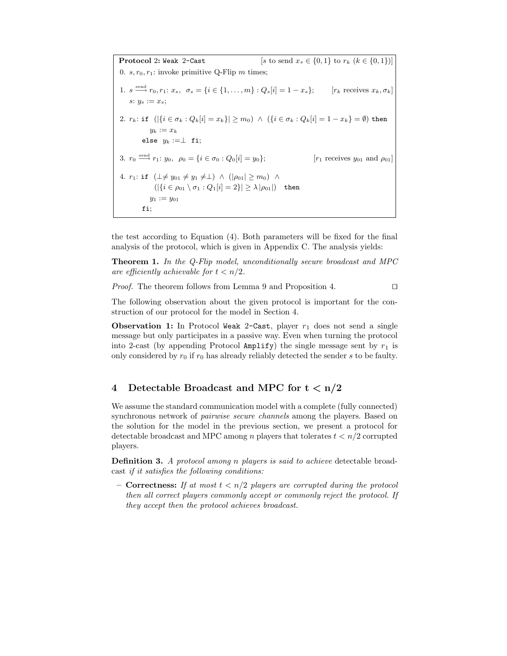**Protocol 2: Weak 2-Cast** [s to send  $x_s \in \{0, 1\}$  to  $r_k$  ( $k \in \{0, 1\}$ )] 0.  $s, r_0, r_1$ : invoke primitive Q-Flip m times; 1.  $s \stackrel{\text{send}}{\longrightarrow} r_0, r_1: x_s, \ \sigma_s = \{i \in \{1, \ldots, m\} : Q_s[i] = 1 - x_s\};\qquad [r_k \text{ receives } x_k, \sigma_k]$ s:  $y_s := x_s$ ; 2.  $r_k$ : if  $(|\{i \in \sigma_k : Q_k[i] = x_k\}| \geq m_0) \wedge (\{i \in \sigma_k : Q_k[i] = 1 - x_k\} = \emptyset)$  then  $y_k := x_k$ else  $y_k := \perp$  fi; 3.  $r_0 \stackrel{\text{send}}{\longrightarrow} r_1: y_0, \ \rho_0 = \{i \in \sigma_0 : Q_0[i] = y_0\};$  [ $r_1$  receives  $y_{01}$  and  $\rho_{01}$ ] 4.  $r_1$ : if  $(\perp \neq y_{01} \neq y_1 \neq \perp) \land (|\rho_{01}| \geq m_0) \land$  $(|\{i \in \rho_{01} \setminus \sigma_1 : Q_1[i] = 2\}| \geq \lambda |\rho_{01}|)$  then  $y_1 := y_{01}$ fi;

the test according to Equation (4). Both parameters will be fixed for the final analysis of the protocol, which is given in Appendix C. The analysis yields:

Theorem 1. In the Q-Flip model, unconditionally secure broadcast and MPC are efficiently achievable for  $t < n/2$ .

*Proof.* The theorem follows from Lemma 9 and Proposition 4.  $\Box$ 

The following observation about the given protocol is important for the construction of our protocol for the model in Section 4.

Observation 1: In Protocol Weak 2-Cast, player  $r_1$  does not send a single message but only participates in a passive way. Even when turning the protocol into 2-cast (by appending Protocol Amplify) the single message sent by  $r_1$  is only considered by  $r_0$  if  $r_0$  has already reliably detected the sender s to be faulty.

# 4 Detectable Broadcast and MPC for  $t < n/2$

We assume the standard communication model with a complete (fully connected) synchronous network of pairwise secure channels among the players. Based on the solution for the model in the previous section, we present a protocol for detectable broadcast and MPC among n players that tolerates  $t < n/2$  corrupted players.

Definition 3. A protocol among n players is said to achieve detectable broadcast if it satisfies the following conditions:

– **Correctness:** If at most  $t < n/2$  players are corrupted during the protocol then all correct players commonly accept or commonly reject the protocol. If they accept then the protocol achieves broadcast.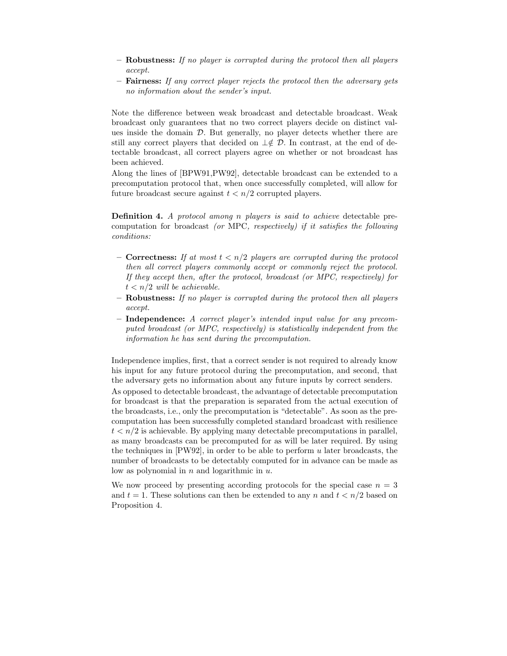- Robustness: If no player is corrupted during the protocol then all players accept.
- Fairness: If any correct player rejects the protocol then the adversary gets no information about the sender's input.

Note the difference between weak broadcast and detectable broadcast. Weak broadcast only guarantees that no two correct players decide on distinct values inside the domain  $D$ . But generally, no player detects whether there are still any correct players that decided on  $\perp \notin \mathcal{D}$ . In contrast, at the end of detectable broadcast, all correct players agree on whether or not broadcast has been achieved.

Along the lines of [BPW91,PW92], detectable broadcast can be extended to a precomputation protocol that, when once successfully completed, will allow for future broadcast secure against  $t < n/2$  corrupted players.

Definition 4. A protocol among n players is said to achieve detectable precomputation for broadcast (or MPC, respectively) if it satisfies the following conditions:

- **Correctness:** If at most  $t < n/2$  players are corrupted during the protocol then all correct players commonly accept or commonly reject the protocol. If they accept then, after the protocol, broadcast (or MPC, respectively) for  $t < n/2$  will be achievable.
- $-$  Robustness: If no player is corrupted during the protocol then all players accept.
- Independence: A correct player's intended input value for any precomputed broadcast (or MPC, respectively) is statistically independent from the information he has sent during the precomputation.

Independence implies, first, that a correct sender is not required to already know his input for any future protocol during the precomputation, and second, that the adversary gets no information about any future inputs by correct senders. As opposed to detectable broadcast, the advantage of detectable precomputation for broadcast is that the preparation is separated from the actual execution of the broadcasts, i.e., only the precomputation is "detectable". As soon as the precomputation has been successfully completed standard broadcast with resilience  $t < n/2$  is achievable. By applying many detectable precomputations in parallel, as many broadcasts can be precomputed for as will be later required. By using the techniques in  $[PW92]$ , in order to be able to perform u later broadcasts, the number of broadcasts to be detectably computed for in advance can be made as low as polynomial in  $n$  and logarithmic in  $u$ .

We now proceed by presenting according protocols for the special case  $n = 3$ and  $t = 1$ . These solutions can then be extended to any n and  $t < n/2$  based on Proposition 4.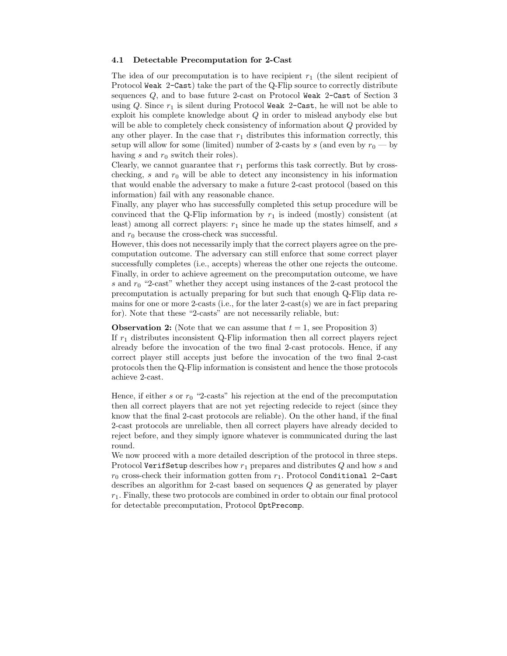#### 4.1 Detectable Precomputation for 2-Cast

The idea of our precomputation is to have recipient  $r_1$  (the silent recipient of Protocol Weak 2-Cast) take the part of the Q-Flip source to correctly distribute sequences Q, and to base future 2-cast on Protocol Weak 2-Cast of Section 3 using  $Q$ . Since  $r_1$  is silent during Protocol Weak 2-Cast, he will not be able to exploit his complete knowledge about Q in order to mislead anybody else but will be able to completely check consistency of information about  $Q$  provided by any other player. In the case that  $r_1$  distributes this information correctly, this setup will allow for some (limited) number of 2-casts by s (and even by  $r_0$  — by having s and  $r_0$  switch their roles).

Clearly, we cannot guarantee that  $r_1$  performs this task correctly. But by crosschecking, s and  $r_0$  will be able to detect any inconsistency in his information that would enable the adversary to make a future 2-cast protocol (based on this information) fail with any reasonable chance.

Finally, any player who has successfully completed this setup procedure will be convinced that the Q-Flip information by  $r_1$  is indeed (mostly) consistent (at least) among all correct players:  $r_1$  since he made up the states himself, and s and  $r_0$  because the cross-check was successful.

However, this does not necessarily imply that the correct players agree on the precomputation outcome. The adversary can still enforce that some correct player successfully completes (i.e., accepts) whereas the other one rejects the outcome. Finally, in order to achieve agreement on the precomputation outcome, we have s and  $r_0$  "2-cast" whether they accept using instances of the 2-cast protocol the precomputation is actually preparing for but such that enough Q-Flip data remains for one or more 2-casts (i.e., for the later 2-cast(s) we are in fact preparing for). Note that these "2-casts" are not necessarily reliable, but:

**Observation 2:** (Note that we can assume that  $t = 1$ , see Proposition 3)

If  $r_1$  distributes inconsistent Q-Flip information then all correct players reject already before the invocation of the two final 2-cast protocols. Hence, if any correct player still accepts just before the invocation of the two final 2-cast protocols then the Q-Flip information is consistent and hence the those protocols achieve 2-cast.

Hence, if either s or  $r_0$  "2-casts" his rejection at the end of the precomputation then all correct players that are not yet rejecting redecide to reject (since they know that the final 2-cast protocols are reliable). On the other hand, if the final 2-cast protocols are unreliable, then all correct players have already decided to reject before, and they simply ignore whatever is communicated during the last round.

We now proceed with a more detailed description of the protocol in three steps. Protocol VerifSetup describes how  $r_1$  prepares and distributes Q and how s and  $r_0$  cross-check their information gotten from  $r_1$ . Protocol Conditional 2-Cast describes an algorithm for 2-cast based on sequences Q as generated by player  $r_1$ . Finally, these two protocols are combined in order to obtain our final protocol for detectable precomputation, Protocol OptPrecomp.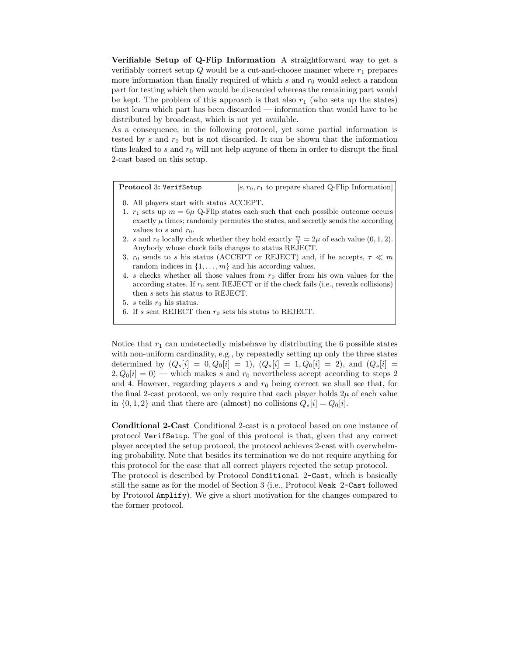Verifiable Setup of Q-Flip Information A straightforward way to get a verifiably correct setup  $Q$  would be a cut-and-choose manner where  $r_1$  prepares more information than finally required of which s and  $r_0$  would select a random part for testing which then would be discarded whereas the remaining part would be kept. The problem of this approach is that also  $r_1$  (who sets up the states) must learn which part has been discarded — information that would have to be distributed by broadcast, which is not yet available.

As a consequence, in the following protocol, yet some partial information is tested by s and  $r_0$  but is not discarded. It can be shown that the information thus leaked to  $s$  and  $r_0$  will not help anyone of them in order to disrupt the final 2-cast based on this setup.

**Protocol 3: VerifSetup** [ $s, r_0, r_1$  to prepare shared Q-Flip Information]

- 0. All players start with status ACCEPT.
- 1.  $r_1$  sets up  $m = 6\mu$  Q-Flip states each such that each possible outcome occurs exactly  $\mu$  times; randomly permutes the states, and secretly sends the according values to s and  $r_0$ .
- 2. s and  $r_0$  locally check whether they hold exactly  $\frac{m}{3} = 2\mu$  of each value  $(0, 1, 2)$ . Anybody whose check fails changes to status REJECT.
- 3.  $r_0$  sends to s his status (ACCEPT or REJECT) and, if he accepts,  $\tau \ll m$ random indices in  $\{1, \ldots, m\}$  and his according values.
- 4. s checks whether all those values from  $r_0$  differ from his own values for the according states. If  $r_0$  sent REJECT or if the check fails (i.e., reveals collisions) then s sets his status to REJECT.

5. s tells  $r_0$  his status.

6. If s sent REJECT then  $r_0$  sets his status to REJECT.

Notice that  $r_1$  can undetectedly misbehave by distributing the 6 possible states with non-uniform cardinality, e.g., by repeatedly setting up only the three states determined by  $(Q_s[i] = 0, Q_0[i] = 1), (Q_s[i] = 1, Q_0[i] = 2)$ , and  $(Q_s[i] = 1, Q_0[i] = 1)$  $2, Q_0[i] = 0$  – which makes s and  $r_0$  nevertheless accept according to steps 2 and 4. However, regarding players s and  $r_0$  being correct we shall see that, for the final 2-cast protocol, we only require that each player holds  $2\mu$  of each value in  $\{0, 1, 2\}$  and that there are (almost) no collisions  $Q_s[i] = Q_0[i]$ .

Conditional 2-Cast Conditional 2-cast is a protocol based on one instance of protocol VerifSetup. The goal of this protocol is that, given that any correct player accepted the setup protocol, the protocol achieves 2-cast with overwhelming probability. Note that besides its termination we do not require anything for this protocol for the case that all correct players rejected the setup protocol.

The protocol is described by Protocol Conditional 2-Cast, which is basically still the same as for the model of Section 3 (i.e., Protocol Weak 2-Cast followed by Protocol Amplify). We give a short motivation for the changes compared to the former protocol.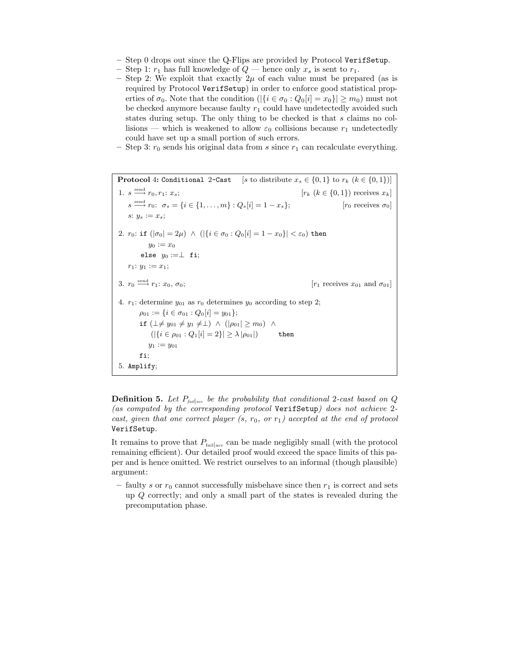- $-$  Step 0 drops out since the Q-Flips are provided by Protocol VerifSetup.
- Step 1:  $r_1$  has full knowledge of  $Q$  hence only  $x_s$  is sent to  $r_1$ .
- Step 2: We exploit that exactly  $2\mu$  of each value must be prepared (as is required by Protocol VerifSetup) in order to enforce good statistical properties of  $\sigma_0$ . Note that the condition  $(|\{i \in \sigma_0 : Q_0[i] = x_0\}| \geq m_0)$  must not be checked anymore because faulty  $r_1$  could have undetectedly avoided such states during setup. The only thing to be checked is that s claims no collisions — which is weakened to allow  $\varepsilon_0$  collisions because  $r_1$  undetectedly could have set up a small portion of such errors.
- Step 3:  $r_0$  sends his original data from s since  $r_1$  can recalculate everything.

**Protocol 4: Conditional 2-Cast** [s to distribute  $x_s \in \{0,1\}$  to  $r_k$  ( $k \in \{0,1\}$ )] 1.  $s \stackrel{\text{send}}{\longrightarrow} r_0, r_1: x_s;$  $[r_k (k \in \{0, 1\})$  receives  $x_k]$  $s \stackrel{\text{send}}{\longrightarrow} r_0: \sigma_s = \{i \in \{1, \ldots, m\} : Q_s[i] = 1 - x_s\};$  [ $r_0$  receives  $\sigma_0$ ] s:  $y_s := x_s$ ; 2.  $r_0$ : if  $(|\sigma_0| = 2\mu) \wedge (|\{i \in \sigma_0 : Q_0[i] = 1 - x_0\}| < \varepsilon_0)$  then  $y_0 := x_0$ else  $y_0 := \perp$  fi;  $r_1: y_1 := x_1;$ 3.  $r_0 \stackrel{\text{send}}{\longrightarrow} r_1$ :  $x_0$ ,  $\sigma_0$ ;  $[r_1]$  receives  $x_{01}$  and  $\sigma_{01}$ 4.  $r_1$ : determine  $y_{01}$  as  $r_0$  determines  $y_0$  according to step 2;  $\rho_{01} := \{i \in \sigma_{01} : Q_0[i] = y_{01}\};$ if  $(\perp \neq y_{01} \neq y_1 \neq \perp) \wedge (|\rho_{01}| \geq m_0) \wedge$  $(|\{i \in \rho_{01} : Q_1[i] = 2\}| \ge \lambda |\rho_{01}|)$  then  $y_1 := y_{01}$ fi; 5. Amplify;

**Definition 5.** Let  $P_{\text{fail}|\text{acc}}$  be the probability that conditional 2-cast based on Q (as computed by the corresponding protocol VerifSetup) does not achieve 2 cast, given that one correct player  $(s, r_0, \text{ or } r_1)$  accepted at the end of protocol VerifSetup.

It remains to prove that  $P_{\text{fail}_{\text{acc}}}$  can be made negligibly small (with the protocol remaining efficient). Our detailed proof would exceed the space limits of this paper and is hence omitted. We restrict ourselves to an informal (though plausible) argument:

– faulty s or  $r_0$  cannot successfully misbehave since then  $r_1$  is correct and sets up Q correctly; and only a small part of the states is revealed during the precomputation phase.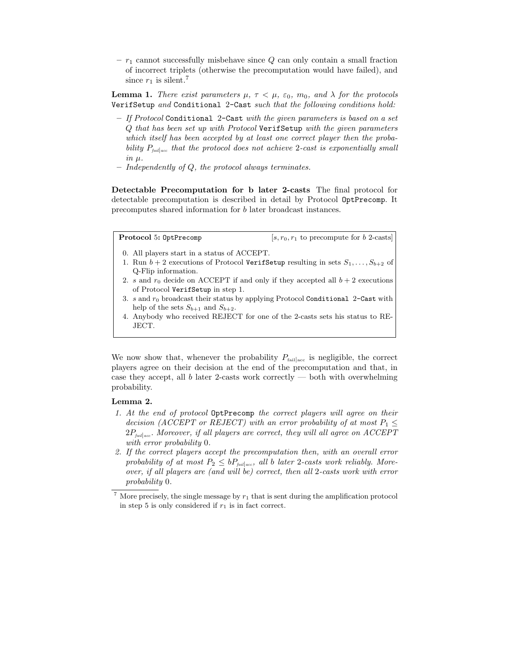$- r_1$  cannot successfully misbehave since Q can only contain a small fraction of incorrect triplets (otherwise the precomputation would have failed), and since  $r_1$  is silent.<sup>7</sup>

**Lemma 1.** There exist parameters  $\mu$ ,  $\tau < \mu$ ,  $\varepsilon_0$ ,  $m_0$ , and  $\lambda$  for the protocols VerifSetup and Conditional 2-Cast such that the following conditions hold:

- If Protocol Conditional 2-Cast with the given parameters is based on a set Q that has been set up with Protocol VerifSetup with the given parameters which itself has been accepted by at least one correct player then the probability  $P_{\text{fail} | \text{acc}}$  that the protocol does not achieve 2-cast is exponentially small  $in<sub>II</sub>$
- Independently of Q, the protocol always terminates.

Detectable Precomputation for b later 2-casts The final protocol for detectable precomputation is described in detail by Protocol OptPrecomp. It precomputes shared information for b later broadcast instances.

**Protocol 5: OptPrecomp** [s,  $r_0, r_1$  to precompute for b 2-casts]

- 0. All players start in a status of ACCEPT.
- 1. Run  $b + 2$  executions of Protocol VerifSetup resulting in sets  $S_1, \ldots, S_{b+2}$  of Q-Flip information.
- 2. s and  $r_0$  decide on ACCEPT if and only if they accepted all  $b + 2$  executions of Protocol VerifSetup in step 1.
- 3. s and  $r_0$  broadcast their status by applying Protocol Conditional 2-Cast with help of the sets  $S_{b+1}$  and  $S_{b+2}$ .
- 4. Anybody who received REJECT for one of the 2-casts sets his status to RE-JECT.

We now show that, whenever the probability  $P_{\text{fail}|\text{acc}}$  is negligible, the correct players agree on their decision at the end of the precomputation and that, in case they accept, all  $b$  later 2-casts work correctly — both with overwhelming probability.

### Lemma 2.

- 1. At the end of protocol OptPrecomp the correct players will agree on their decision (ACCEPT or REJECT) with an error probability of at most  $P_1 \leq$  $2P_{\mathit{fail|acc}}$ . Moreover, if all players are correct, they will all agree on  $\mathit{ACCEPT}$ with error probability 0.
- 2. If the correct players accept the precomputation then, with an overall error probability of at most  $P_2 \leq bP_{\text{fail} | \text{acc}}$ , all b later 2-casts work reliably. Moreover, if all players are (and will be) correct, then all 2-casts work with error probability 0.

 $7$  More precisely, the single message by  $r_1$  that is sent during the amplification protocol in step 5 is only considered if  $r_1$  is in fact correct.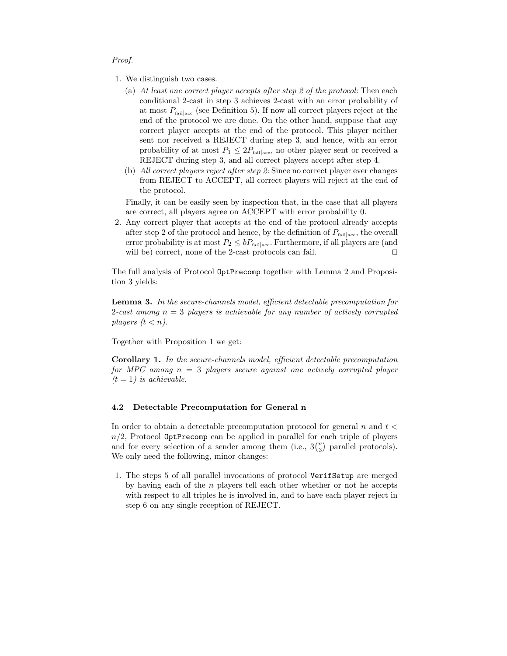#### Proof.

- 1. We distinguish two cases.
	- (a) At least one correct player accepts after step 2 of the protocol: Then each conditional 2-cast in step 3 achieves 2-cast with an error probability of at most  $P_{\text{fail}|\text{acc}}$  (see Definition 5). If now all correct players reject at the end of the protocol we are done. On the other hand, suppose that any correct player accepts at the end of the protocol. This player neither sent nor received a REJECT during step 3, and hence, with an error probability of at most  $P_1 \leq 2P_{\text{fail}|\text{acc}}$ , no other player sent or received a REJECT during step 3, and all correct players accept after step 4.
	- (b) All correct players reject after step 2: Since no correct player ever changes from REJECT to ACCEPT, all correct players will reject at the end of the protocol.

Finally, it can be easily seen by inspection that, in the case that all players are correct, all players agree on ACCEPT with error probability 0.

2. Any correct player that accepts at the end of the protocol already accepts after step 2 of the protocol and hence, by the definition of  $P_{\text{fail} | \text{acc}}$ , the overall error probability is at most  $P_2 \leq bP_{\text{fail}|acc}$ . Furthermore, if all players are (and will be) correct, none of the 2-cast protocols can fail.  $\square$ 

The full analysis of Protocol OptPrecomp together with Lemma 2 and Proposition 3 yields:

Lemma 3. In the secure-channels model, efficient detectable precomputation for 2-cast among  $n = 3$  players is achievable for any number of actively corrupted players  $(t < n)$ .

Together with Proposition 1 we get:

Corollary 1. In the secure-channels model, efficient detectable precomputation for MPC among  $n = 3$  players secure against one actively corrupted player  $(t = 1)$  is achievable.

### 4.2 Detectable Precomputation for General n

In order to obtain a detectable precomputation protocol for general n and  $t \leq$  $n/2$ , Protocol OptPrecomp can be applied in parallel for each triple of players and for every selection of a sender among them (i.e.,  $3\binom{n}{3}$  parallel protocols). We only need the following, minor changes:

1. The steps 5 of all parallel invocations of protocol VerifSetup are merged by having each of the  $n$  players tell each other whether or not he accepts with respect to all triples he is involved in, and to have each player reject in step 6 on any single reception of REJECT.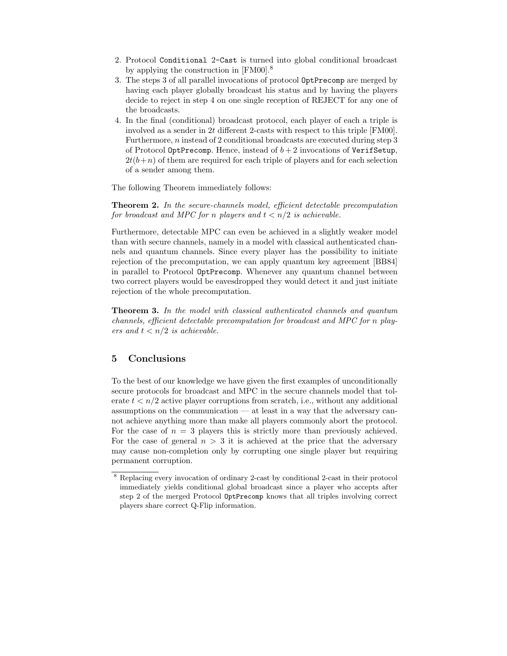- 2. Protocol Conditional 2-Cast is turned into global conditional broadcast by applying the construction in [FM00].<sup>8</sup>
- 3. The steps 3 of all parallel invocations of protocol OptPrecomp are merged by having each player globally broadcast his status and by having the players decide to reject in step 4 on one single reception of REJECT for any one of the broadcasts.
- 4. In the final (conditional) broadcast protocol, each player of each a triple is involved as a sender in 2t different 2-casts with respect to this triple [FM00]. Furthermore, n instead of 2 conditional broadcasts are executed during step 3 of Protocol OptPrecomp. Hence, instead of  $b + 2$  invocations of VerifSetup,  $2t(b+n)$  of them are required for each triple of players and for each selection of a sender among them.

The following Theorem immediately follows:

**Theorem 2.** In the secure-channels model, efficient detectable precomputation for broadcast and MPC for n players and  $t < n/2$  is achievable.

Furthermore, detectable MPC can even be achieved in a slightly weaker model than with secure channels, namely in a model with classical authenticated channels and quantum channels. Since every player has the possibility to initiate rejection of the precomputation, we can apply quantum key agreement [BB84] in parallel to Protocol OptPrecomp. Whenever any quantum channel between two correct players would be eavesdropped they would detect it and just initiate rejection of the whole precomputation.

Theorem 3. In the model with classical authenticated channels and quantum channels, efficient detectable precomputation for broadcast and MPC for n players and  $t < n/2$  is achievable.

### 5 Conclusions

To the best of our knowledge we have given the first examples of unconditionally secure protocols for broadcast and MPC in the secure channels model that tolerate  $t < n/2$  active player corruptions from scratch, i.e., without any additional assumptions on the communication — at least in a way that the adversary cannot achieve anything more than make all players commonly abort the protocol. For the case of  $n = 3$  players this is strictly more than previously achieved. For the case of general  $n > 3$  it is achieved at the price that the adversary may cause non-completion only by corrupting one single player but requiring permanent corruption.

<sup>8</sup> Replacing every invocation of ordinary 2-cast by conditional 2-cast in their protocol immediately yields conditional global broadcast since a player who accepts after step 2 of the merged Protocol OptPrecomp knows that all triples involving correct players share correct Q-Flip information.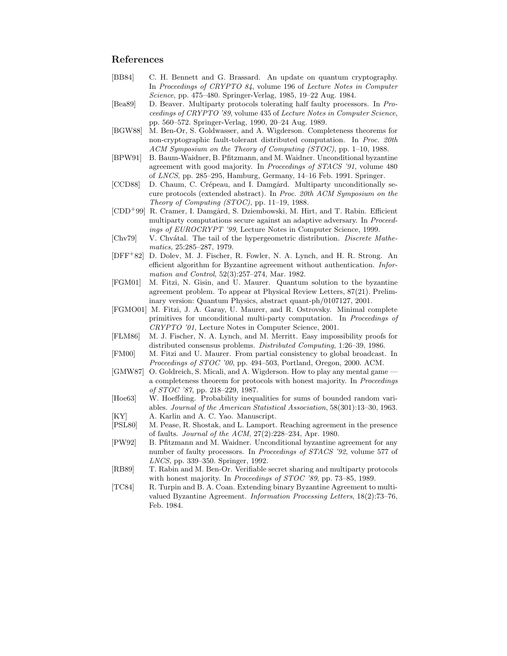### References

- [BB84] C. H. Bennett and G. Brassard. An update on quantum cryptography. In Proceedings of CRYPTO 84, volume 196 of Lecture Notes in Computer Science, pp. 475–480. Springer-Verlag, 1985, 19–22 Aug. 1984.
- [Bea89] D. Beaver. Multiparty protocols tolerating half faulty processors. In Proceedings of CRYPTO '89, volume 435 of Lecture Notes in Computer Science, pp. 560–572. Springer-Verlag, 1990, 20–24 Aug. 1989.
- [BGW88] M. Ben-Or, S. Goldwasser, and A. Wigderson. Completeness theorems for non-cryptographic fault-tolerant distributed computation. In Proc. 20th ACM Symposium on the Theory of Computing (STOC), pp. 1–10, 1988.
- [BPW91] B. Baum-Waidner, B. Pfitzmann, and M. Waidner. Unconditional byzantine agreement with good majority. In Proceedings of STACS '91, volume 480 of LNCS, pp. 285–295, Hamburg, Germany, 14–16 Feb. 1991. Springer.
- [CCD88] D. Chaum, C. Crépeau, and I. Damgård. Multiparty unconditionally secure protocols (extended abstract). In Proc. 20th ACM Symposium on the Theory of Computing (STOC), pp. 11–19, 1988.
- [CDD<sup>+</sup>99] R. Cramer, I. Damgård, S. Dziembowski, M. Hirt, and T. Rabin. Efficient multiparty computations secure against an adaptive adversary. In Proceedings of EUROCRYPT '99, Lecture Notes in Computer Science, 1999.
- [Chv79] V. Chvatal. The tail of the hypergeometric distribution. Discrete Mathematics, 25:285–287, 1979.
- [DFF<sup>+</sup>82] D. Dolev, M. J. Fischer, R. Fowler, N. A. Lynch, and H. R. Strong. An efficient algorithm for Byzantine agreement without authentication. Information and Control, 52(3):257–274, Mar. 1982.
- [FGM01] M. Fitzi, N. Gisin, and U. Maurer. Quantum solution to the byzantine agreement problem. To appear at Physical Review Letters, 87(21). Preliminary version: Quantum Physics, abstract quant-ph/0107127, 2001.
- [FGMO01] M. Fitzi, J. A. Garay, U. Maurer, and R. Ostrovsky. Minimal complete primitives for unconditional multi-party computation. In Proceedings of CRYPTO '01, Lecture Notes in Computer Science, 2001.
- [FLM86] M. J. Fischer, N. A. Lynch, and M. Merritt. Easy impossibility proofs for distributed consensus problems. Distributed Computing, 1:26–39, 1986.
- [FM00] M. Fitzi and U. Maurer. From partial consistency to global broadcast. In Proceedings of STOC '00, pp. 494–503, Portland, Oregon, 2000. ACM.
- [GMW87] O. Goldreich, S. Micali, and A. Wigderson. How to play any mental game a completeness theorem for protocols with honest majority. In Proceedings of STOC '87, pp. 218–229, 1987.
- [Hoe63] W. Hoeffding. Probability inequalities for sums of bounded random variables. Journal of the American Statistical Association, 58(301):13–30, 1963. [KY] A. Karlin and A. C. Yao. Manuscript.
- [PSL80] M. Pease, R. Shostak, and L. Lamport. Reaching agreement in the presence of faults. Journal of the ACM, 27(2):228–234, Apr. 1980.
- [PW92] B. Pfitzmann and M. Waidner. Unconditional byzantine agreement for any number of faulty processors. In Proceedings of STACS '92, volume 577 of LNCS, pp. 339–350. Springer, 1992.
- [RB89] T. Rabin and M. Ben-Or. Verifiable secret sharing and multiparty protocols with honest majority. In Proceedings of STOC '89, pp. 73-85, 1989.
- [TC84] R. Turpin and B. A. Coan. Extending binary Byzantine Agreement to multivalued Byzantine Agreement. Information Processing Letters, 18(2):73–76, Feb. 1984.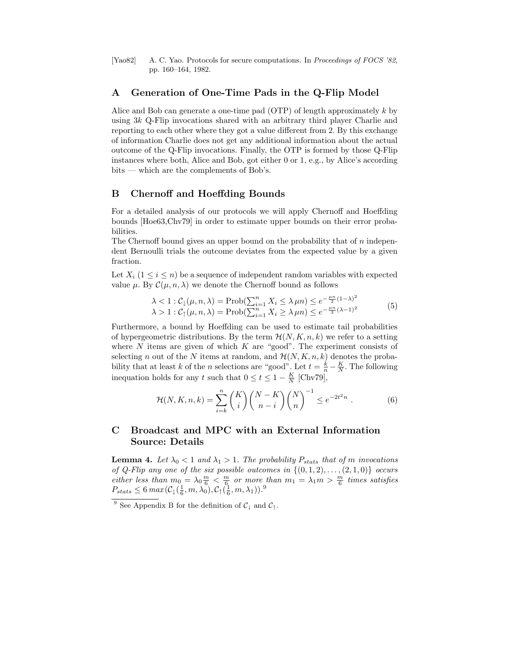[Yao82] A. C. Yao. Protocols for secure computations. In Proceedings of FOCS '82, pp. 160–164, 1982.

### A Generation of One-Time Pads in the Q-Flip Model

Alice and Bob can generate a one-time pad (OTP) of length approximately k by using 3k Q-Flip invocations shared with an arbitrary third player Charlie and reporting to each other where they got a value different from 2. By this exchange of information Charlie does not get any additional information about the actual outcome of the Q-Flip invocations. Finally, the OTP is formed by those Q-Flip instances where both, Alice and Bob, got either 0 or 1, e.g., by Alice's according bits — which are the complements of Bob's.

# B Chernoff and Hoeffding Bounds

For a detailed analysis of our protocols we will apply Chernoff and Hoeffding bounds [Hoe63,Chv79] in order to estimate upper bounds on their error probabilities.

The Chernoff bound gives an upper bound on the probability that of  $n$  independent Bernoulli trials the outcome deviates from the expected value by a given fraction.

Let  $X_i$  ( $1 \leq i \leq n$ ) be a sequence of independent random variables with expected value  $\mu$ . By  $\mathcal{C}(\mu, n, \lambda)$  we denote the Chernoff bound as follows

$$
\lambda < 1 : C_1(\mu, n, \lambda) = \text{Prob}(\sum_{i=1}^n X_i \le \lambda \mu n) \le e^{-\frac{\mu n}{2}(1-\lambda)^2}
$$
  

$$
\lambda > 1 : C_1(\mu, n, \lambda) = \text{Prob}(\sum_{i=1}^n X_i \ge \lambda \mu n) \le e^{-\frac{\mu n}{3}(\lambda - 1)^2}
$$
 (5)

Furthermore, a bound by Hoeffding can be used to estimate tail probabilities of hypergeometric distributions. By the term  $\mathcal{H}(N, K, n, k)$  we refer to a setting where  $N$  items are given of which  $K$  are "good". The experiment consists of selecting n out of the N items at random, and  $\mathcal{H}(N, K, n, k)$  denotes the probability that at least k of the n selections are "good". Let  $t = \frac{k}{n} - \frac{K}{N}$ . The following inequation holds for any t such that  $0 \le t \le 1 - \frac{K}{N}$  [Chv79],

$$
\mathcal{H}(N, K, n, k) = \sum_{i=k}^{n} {K \choose i} {N-K \choose n-i} {N \choose n}^{-1} \le e^{-2t^2 n} .
$$
 (6)

# C Broadcast and MPC with an External Information Source: Details

**Lemma 4.** Let  $\lambda_0 < 1$  and  $\lambda_1 > 1$ . The probability  $P_{stats}$  that of m invocations of Q-Flip any one of the six possible outcomes in  $\{(0,1,2), \ldots, (2,1,0)\}$  occurs either less than  $m_0 = \lambda_0 \frac{m}{6} < \frac{m}{6}$  or more than  $m_1 = \lambda_1 m > \frac{m}{6}$  times satisfies  $P_{stats} \leq 6 \ max(\mathcal{C}_\downarrow(\frac{1}{6},m,\lambda_0),\mathcal{C}_\uparrow(\frac{1}{6},m,\lambda_1)).^9$ 

<sup>&</sup>lt;sup>9</sup> See Appendix B for the definition of  $C_{\downarrow}$  and  $C_{\uparrow}$ .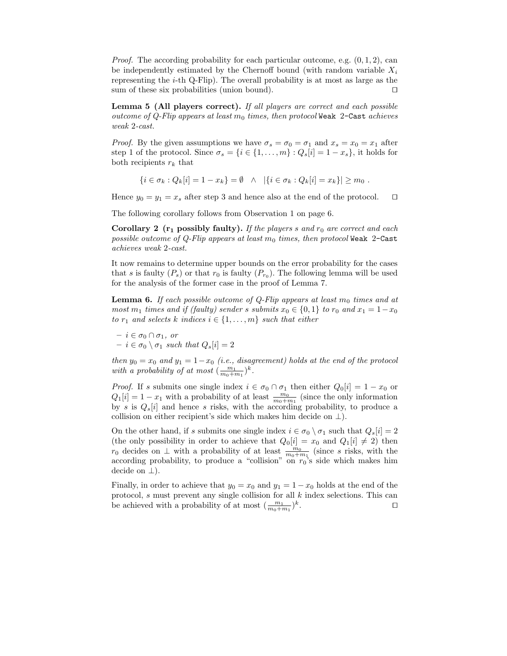*Proof.* The according probability for each particular outcome, e.g.  $(0, 1, 2)$ , can be independently estimated by the Chernoff bound (with random variable  $X_i$ representing the  $i$ -th Q-Flip). The overall probability is at most as large as the sum of these six probabilities (union bound).  $\Box$ 

Lemma 5 (All players correct). If all players are correct and each possible outcome of Q-Flip appears at least  $m_0$  times, then protocol Weak 2-Cast achieves weak 2-cast.

*Proof.* By the given assumptions we have  $\sigma_s = \sigma_0 = \sigma_1$  and  $x_s = x_0 = x_1$  after step 1 of the protocol. Since  $\sigma_s = \{i \in \{1, \ldots, m\} : Q_s[i] = 1 - x_s\}$ , it holds for both recipients  $r_k$  that

$$
\{i \in \sigma_k : Q_k[i] = 1 - x_k\} = \emptyset \quad \wedge \quad |\{i \in \sigma_k : Q_k[i] = x_k\}| \ge m_0 \; .
$$

Hence  $y_0 = y_1 = x_s$  after step 3 and hence also at the end of the protocol.  $\square$ 

The following corollary follows from Observation 1 on page 6.

Corollary 2  $(r_1$  possibly faulty). If the players s and  $r_0$  are correct and each possible outcome of Q-Flip appears at least  $m_0$  times, then protocol Weak 2-Cast achieves weak 2-cast.

It now remains to determine upper bounds on the error probability for the cases that s is faulty  $(P_s)$  or that  $r_0$  is faulty  $(P_{r_0})$ . The following lemma will be used for the analysis of the former case in the proof of Lemma 7.

**Lemma 6.** If each possible outcome of Q-Flip appears at least  $m_0$  times and at most  $m_1$  times and if (faulty) sender s submits  $x_0 \in \{0, 1\}$  to  $r_0$  and  $x_1 = 1-x_0$ to  $r_1$  and selects k indices  $i \in \{1, \ldots, m\}$  such that either

 $- i \in \sigma_0 \cap \sigma_1$ , or  $- i \in \sigma_0 \setminus \sigma_1$  such that  $Q_s[i] = 2$ 

then  $y_0 = x_0$  and  $y_1 = 1-x_0$  (i.e., disagreement) holds at the end of the protocol with a probability of at most  $(\frac{m_1}{m_0+m_1})^k$ .

*Proof.* If s submits one single index  $i \in \sigma_0 \cap \sigma_1$  then either  $Q_0[i] = 1 - x_0$  or  $Q_1[i] = 1 - x_1$  with a probability of at least  $\frac{m_0}{m_0 + m_1}$  (since the only information by s is  $Q_s[i]$  and hence s risks, with the according probability, to produce a collision on either recipient's side which makes him decide on  $\perp$ ).

On the other hand, if s submits one single index  $i \in \sigma_0 \setminus \sigma_1$  such that  $Q_s[i] = 2$ (the only possibility in order to achieve that  $Q_0[i] = x_0$  and  $Q_1[i] \neq 2$ ) then  $r_0$  decides on ⊥ with a probability of at least  $\frac{m_0}{m_0+m_1}$  (since s risks, with the according probability, to produce a "collision" on  $r_0$ 's side which makes him decide on  $\perp$ ).

Finally, in order to achieve that  $y_0 = x_0$  and  $y_1 = 1 - x_0$  holds at the end of the protocol, s must prevent any single collision for all k index selections. This can be achieved with a probability of at most  $(\frac{m_1}{m_0+m_1})^k$ . tu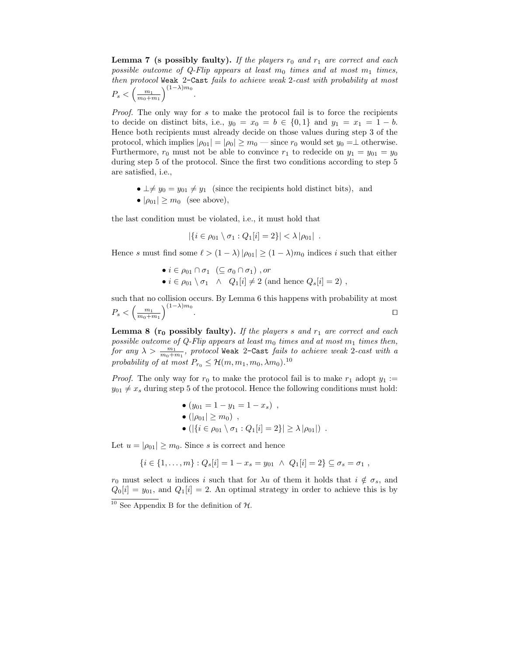**Lemma 7** (s possibly faulty). If the players  $r_0$  and  $r_1$  are correct and each possible outcome of Q-Flip appears at least  $m_0$  times and at most  $m_1$  times, then protocol Weak 2-Cast fails to achieve weak 2-cast with probability at most  $\left(\frac{m_1}{m_2}\right)^{(1-\lambda)m_0}$ .

$$
P_s < \left(\frac{m_1}{m_0 + m_1}\right)^n
$$

Proof. The only way for s to make the protocol fail is to force the recipients to decide on distinct bits, i.e.,  $y_0 = x_0 = b \in \{0, 1\}$  and  $y_1 = x_1 = 1 - b$ . Hence both recipients must already decide on those values during step 3 of the protocol, which implies  $|\rho_{01}| = |\rho_0| \ge m_0$  — since  $r_0$  would set  $y_0 = \perp$  otherwise. Furthermore,  $r_0$  must not be able to convince  $r_1$  to redecide on  $y_1 = y_{01} = y_0$ during step 5 of the protocol. Since the first two conditions according to step 5 are satisfied, i.e.,

•  $\perp \neq y_0 = y_{01} \neq y_1$  (since the recipients hold distinct bits), and •  $|\rho_{01}| \geq m_0$  (see above),

the last condition must be violated, i.e., it must hold that

$$
|\{i \in \rho_{01} \setminus \sigma_1 : Q_1[i] = 2\}| < \lambda |\rho_{01}|
$$
.

Hence s must find some  $\ell > (1 - \lambda)|\rho_{01}| \ge (1 - \lambda)m_0$  indices i such that either

•  $i \in \rho_{01} \cap \sigma_1 \ (\subseteq \sigma_0 \cap \sigma_1)$ , or •  $i \in \rho_{01} \setminus \sigma_1 \;\land\; Q_1[i] \neq 2$  (and hence  $Q_s[i] = 2$ ),

such that no collision occurs. By Lemma 6 this happens with probability at most  $P_s < \left(\frac{m_1}{m_0+m_1}\right)^{(1-\lambda)m_0}$ . The contract of the contract of the contract of the contract of the contract of the contract of the contract of the contract of the contract of the contract of the contract of the contract of the contract of the contract

**Lemma 8** ( $r_0$  possibly faulty). If the players s and  $r_1$  are correct and each possible outcome of Q-Flip appears at least  $m_0$  times and at most  $m_1$  times then, for any  $\lambda > \frac{m_1}{m_0+m_1}$ , protocol Weak 2-Cast fails to achieve weak 2-cast with a probability of at most  $P_{r_0} \leq \mathcal{H}(m, m_1, m_0, \lambda m_0)$ .<sup>10</sup>

*Proof.* The only way for  $r_0$  to make the protocol fail is to make  $r_1$  adopt  $y_1 :=$  $y_{01} \neq x_s$  during step 5 of the protocol. Hence the following conditions must hold:

• 
$$
(y_{01} = 1 - y_1 = 1 - x_s)
$$
,  
\n•  $(|\rho_{01}| \ge m_0)$ ,  
\n•  $(|\{i \in \rho_{01} \setminus \sigma_1 : Q_1[i] = 2\}| \ge \lambda |\rho_{01}|)$ .

Let  $u = |\rho_{01}| \geq m_0$ . Since s is correct and hence

$$
\{i \in \{1, \ldots, m\} : Q_s[i] = 1 - x_s = y_{01} \ \land \ Q_1[i] = 2\} \subseteq \sigma_s = \sigma_1 ,
$$

 $r_0$  must select u indices i such that for  $\lambda u$  of them it holds that  $i \notin \sigma_s$ , and  $Q_0[i] = y_{01}$ , and  $Q_1[i] = 2$ . An optimal strategy in order to achieve this is by  $\frac{10}{10}$  See Appendix B for the definition of  $\mathcal{H}$ .